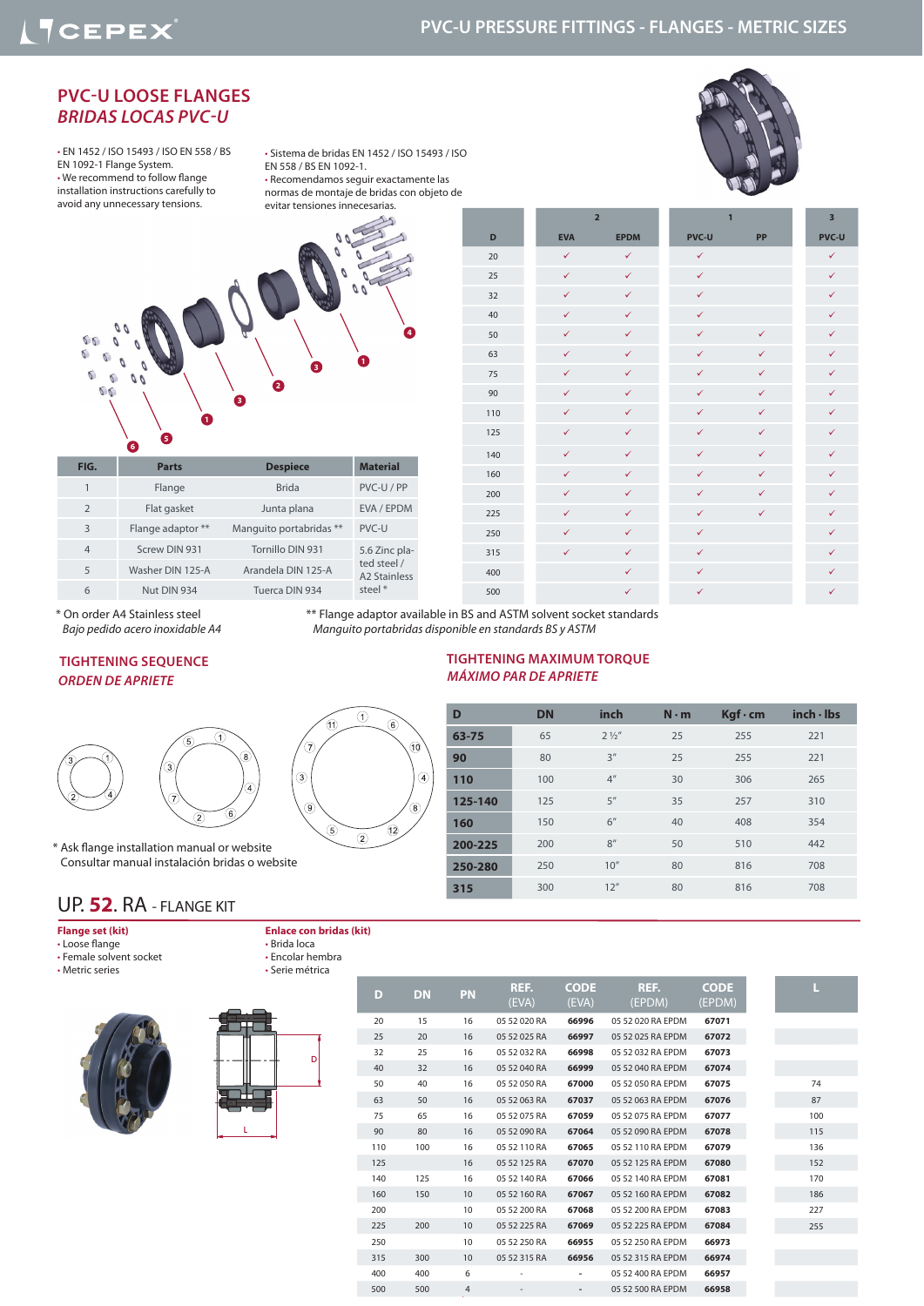## **PVC-U PRESSURE FITTINGS - FLANGES - METRIC SIZES**

### **PVC-U LOOSE FLANGES**  *BRIDAS LOCAS PVC-U*

• EN 1452 / ISO 15493 / ISO EN 558 / BS EN 1092-1 Flange System. • We recommend to follow flange installation instructions carefully to avoid any unnecessary tensions.

• Sistema de bridas EN 1452 / ISO 15493 / ISO EN 558 / BS EN 1092-1. • Recomendamos seguir exactamente las normas de montaje de bridas con objeto de evitar tensiones innecesarias.



**4**  $60$  $\sqrt{2}$ **<sup>1</sup> <sup>3</sup>**  $\sqrt{2}$ **2**  $66$ **3 1 5 6**

|                | ю,                |                         |                                         |  |
|----------------|-------------------|-------------------------|-----------------------------------------|--|
| FIG.           | <b>Parts</b>      | <b>Despiece</b>         | <b>Material</b>                         |  |
| 1              | Flange            | <b>Brida</b>            | PVC-U / PP                              |  |
| $\overline{2}$ | Flat gasket       | Junta plana             | EVA / EPDM                              |  |
| 3              | Flange adaptor ** | Manguito portabridas ** | PVC-U                                   |  |
| $\overline{4}$ | Screw DIN 931     | Tornillo DIN 931        | 5.6 Zinc pla-                           |  |
| 5              | Washer DIN 125-A  | Arandela DIN 125-A      | ted steel /<br>A <sub>2</sub> Stainless |  |
| 6              | Nut DIN 934       | Tuerca DIN 934          | steel *                                 |  |
|                |                   |                         |                                         |  |

|     |              | $\overline{2}$ | $\mathbf{1}$ | 3            |              |
|-----|--------------|----------------|--------------|--------------|--------------|
| D   | <b>EVA</b>   | <b>EPDM</b>    | <b>PVC-U</b> | PP           | <b>PVC-U</b> |
| 20  | $\checkmark$ | $\checkmark$   | $\checkmark$ |              | $\checkmark$ |
| 25  | $\checkmark$ | $\checkmark$   | $\checkmark$ |              | $\checkmark$ |
| 32  | $\checkmark$ | $\checkmark$   | $\checkmark$ |              | $\checkmark$ |
| 40  | $\checkmark$ | $\checkmark$   | $\checkmark$ |              | $\checkmark$ |
| 50  | $\checkmark$ | $\checkmark$   | $\checkmark$ | $\checkmark$ | ✓            |
| 63  | $\checkmark$ | $\checkmark$   | $\checkmark$ | $\checkmark$ | ✓            |
| 75  | $\checkmark$ | $\checkmark$   | $\checkmark$ | $\checkmark$ | $\checkmark$ |
| 90  | $\checkmark$ | $\checkmark$   | $\checkmark$ | $\checkmark$ | $\checkmark$ |
| 110 | $\checkmark$ | $\checkmark$   | $\checkmark$ | $\checkmark$ | $\checkmark$ |
| 125 | $\checkmark$ | $\checkmark$   | $\checkmark$ | $\checkmark$ | $\checkmark$ |
| 140 | $\checkmark$ | $\checkmark$   | $\checkmark$ | $\checkmark$ | $\checkmark$ |
| 160 | $\checkmark$ | $\checkmark$   | $\checkmark$ | ✓            | ✓            |
| 200 | $\checkmark$ | $\checkmark$   | ✓            | $\checkmark$ | $\checkmark$ |
| 225 | $\checkmark$ | $\checkmark$   | $\checkmark$ | $\checkmark$ | ✓            |
| 250 | $\checkmark$ | $\checkmark$   | $\checkmark$ |              | ✓            |
| 315 | $\checkmark$ | $\checkmark$   | $\checkmark$ |              | $\checkmark$ |
| 400 |              | $\checkmark$   | $\checkmark$ |              | $\checkmark$ |
| 500 |              | $\checkmark$   | ✓            |              | $\checkmark$ |

\* On order A4 Stainless steel  *Bajo pedido acero inoxidable A4* \*\* Flange adaptor available in BS and ASTM solvent socket standards  *Manguito portabridas disponible en standards BS y ASTM*

#### *ORDEN DE APRIETE* **TIGHTENING SEQUENCE**



11  $\widehat{\mathcal{C}}$  $\circledS$  $\circledcirc$  $\circledS$ 

 $\odot$ 

6

Œ  $\circled{2}$ 

Ƙ

 $\circled{4}$ 

\* Ask flange installation manual or website Consultar manual instalación bridas o website

## *MÁXIMO PAR DE APRIETE* **TIGHTENING MAXIMUM TORQUE**

| D       | <b>DN</b> | inch            | $N \cdot m$ | $Kgf \cdot cm$ | inch·lbs |
|---------|-----------|-----------------|-------------|----------------|----------|
| 63-75   | 65        | $2\frac{1}{2}$  | 25          | 255            | 221      |
| 90      | 80        | 3''             | 25          | 255            | 221      |
| 110     | 100       | 4 <sup>''</sup> | 30          | 306            | 265      |
| 125-140 | 125       | 5''             | 35          | 257            | 310      |
| 160     | 150       | 6"              | 40          | 408            | 354      |
| 200-225 | 200       | 8''             | 50          | 510            | 442      |
| 250-280 | 250       | 10''            | 80          | 816            | 708      |
| 315     | 300       | 12''            | 80          | 816            | 708      |

### UP. **52**. RA - FLANGE KIT

#### **Flange set (kit)**

• Loose flange • Female solvent socket • Metric series

**Enlace con bridas (kit)** • Brida loca • Encolar hembra • Serie métrica





| D   | DN  | <b>PN</b> | REF.<br>(EVA) | <b>CODE</b><br>(EVA) | REF.<br>(EPDM)    | <b>CODE</b><br>(EPDM) |     |
|-----|-----|-----------|---------------|----------------------|-------------------|-----------------------|-----|
| 20  | 15  | 16        | 05 52 020 RA  | 66996                | 05 52 020 RA EPDM | 67071                 |     |
| 25  | 20  | 16        | 05 52 025 RA  | 66997                | 05 52 025 RA EPDM | 67072                 |     |
| 32  | 25  | 16        | 05 52 032 RA  | 66998                | 05 52 032 RA EPDM | 67073                 |     |
| 40  | 32  | 16        | 05 52 040 RA  | 66999                | 05 52 040 RA EPDM | 67074                 |     |
| 50  | 40  | 16        | 05 52 050 RA  | 67000                | 05 52 050 RA EPDM | 67075                 | 74  |
| 63  | 50  | 16        | 05 52 063 RA  | 67037                | 05 52 063 RA EPDM | 67076                 | 87  |
| 75  | 65  | 16        | 05 52 075 RA  | 67059                | 05 52 075 RA EPDM | 67077                 | 100 |
| 90  | 80  | 16        | 05 52 090 RA  | 67064                | 05 52 090 RA EPDM | 67078                 | 115 |
| 110 | 100 | 16        | 05 52 110 RA  | 67065                | 05 52 110 RA EPDM | 67079                 | 136 |
| 125 |     | 16        | 05 52 125 RA  | 67070                | 05 52 125 RA EPDM | 67080                 | 152 |
| 140 | 125 | 16        | 05 52 140 RA  | 67066                | 05 52 140 RA EPDM | 67081                 | 170 |
| 160 | 150 | 10        | 05 52 160 RA  | 67067                | 05 52 160 RA EPDM | 67082                 | 186 |
| 200 |     | 10        | 05 52 200 RA  | 67068                | 05 52 200 RA EPDM | 67083                 | 227 |
| 225 | 200 | 10        | 05 52 225 RA  | 67069                | 05 52 225 RA EPDM | 67084                 | 255 |
| 250 |     | 10        | 05 52 250 RA  | 66955                | 05 52 250 RA EPDM | 66973                 |     |
| 315 | 300 | 10        | 05 52 315 RA  | 66956                | 05 52 315 RA EPDM | 66974                 |     |
| 400 | 400 | 6         |               |                      | 05 52 400 RA EPDM | 66957                 |     |
| 500 | 500 | 4         |               |                      | 05 52 500 RA EPDM | 66958                 |     |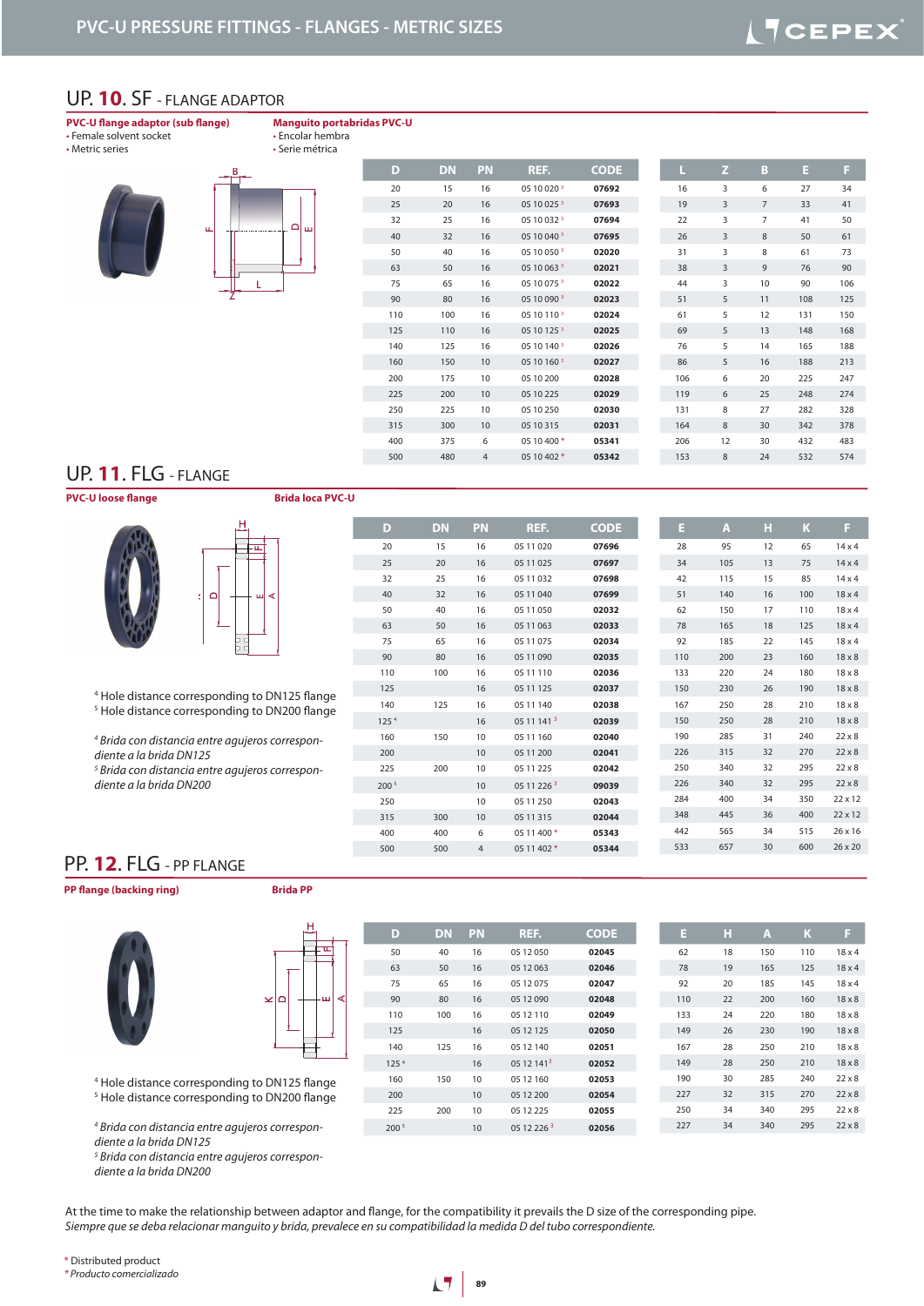#### UP. **10**. SF - FLANGE ADAPTOR

#### **PVC-U flange adaptor (sub flange)** • Female solvent socket

**Manguito portabridas PVC-U** • Encolar hembra

I

• Metric series





| D   | <b>DN</b> | PN             | REF.        | <b>CODE</b> | L   | z              | B              | Е   | F   |
|-----|-----------|----------------|-------------|-------------|-----|----------------|----------------|-----|-----|
| 20  | 15        | 16             | 05 10 020 3 | 07692       | 16  | 3              | 6              | 27  | 34  |
| 25  | 20        | 16             | 05 10 025 3 | 07693       | 19  | 3              | $\overline{7}$ | 33  | 41  |
| 32  | 25        | 16             | 05 10 032 3 | 07694       | 22  | 3              | $\overline{7}$ | 41  | 50  |
| 40  | 32        | 16             | 05 10 040 3 | 07695       | 26  | 3              | 8              | 50  | 61  |
| 50  | 40        | 16             | 05 10 050 3 | 02020       | 31  | 3              | 8              | 61  | 73  |
| 63  | 50        | 16             | 05 10 063 3 | 02021       | 38  | $\overline{3}$ | 9              | 76  | 90  |
| 75  | 65        | 16             | 05 10 075 3 | 02022       | 44  | 3              | 10             | 90  | 106 |
| 90  | 80        | 16             | 05 10 090 3 | 02023       | 51  | 5              | 11             | 108 | 125 |
| 110 | 100       | 16             | 05 10 110 3 | 02024       | 61  | 5              | 12             | 131 | 150 |
| 125 | 110       | 16             | 05 10 125 3 | 02025       | 69  | 5              | 13             | 148 | 168 |
| 140 | 125       | 16             | 05 10 140 3 | 02026       | 76  | 5              | 14             | 165 | 188 |
| 160 | 150       | 10             | 05 10 160 3 | 02027       | 86  | 5              | 16             | 188 | 213 |
| 200 | 175       | 10             | 05 10 200   | 02028       | 106 | 6              | 20             | 225 | 247 |
| 225 | 200       | 10             | 05 10 225   | 02029       | 119 | 6              | 25             | 248 | 274 |
| 250 | 225       | 10             | 05 10 250   | 02030       | 131 | 8              | 27             | 282 | 328 |
| 315 | 300       | 10             | 05 10 315   | 02031       | 164 | 8              | 30             | 342 | 378 |
| 400 | 375       | 6              | 05 10 400 * | 05341       | 206 | 12             | 30             | 432 | 483 |
| 500 | 480       | $\overline{4}$ | 05 10 402 * | 05342       | 153 | $8\phantom{1}$ | 24             | 532 | 574 |
|     |           |                |             |             |     |                |                |     |     |

## UP. **11**. FLG - FLANGE

**PVC-U loose flange Brida loca PVC-U** 





 Hole distance corresponding to DN125 flange Hole distance corresponding to DN200 flange

 *Brida con distancia entre agujeros correspon-*

*diente a la brida DN125*

  *Brida con distancia entre agujeros correspondiente a la brida DN200*

| D                | <b>DN</b> | <b>PN</b>      | REF.        | <b>CODE</b> | Е   | $\overline{A}$ | н  | K   | F              |
|------------------|-----------|----------------|-------------|-------------|-----|----------------|----|-----|----------------|
| 20               | 15        | 16             | 05 11 020   | 07696       | 28  | 95             | 12 | 65  | 14x4           |
| 25               | 20        | 16             | 05 11 025   | 07697       | 34  | 105            | 13 | 75  | $14 \times 4$  |
| 32               | 25        | 16             | 05 11 032   | 07698       | 42  | 115            | 15 | 85  | $14 \times 4$  |
| 40               | 32        | 16             | 05 11 040   | 07699       | 51  | 140            | 16 | 100 | $18 \times 4$  |
| 50               | 40        | 16             | 05 11 050   | 02032       | 62  | 150            | 17 | 110 | 18x4           |
| 63               | 50        | 16             | 05 11 063   | 02033       | 78  | 165            | 18 | 125 | 18x4           |
| 75               | 65        | 16             | 05 11 075   | 02034       | 92  | 185            | 22 | 145 | $18 \times 4$  |
| 90               | 80        | 16             | 05 11 090   | 02035       | 110 | 200            | 23 | 160 | $18 \times 8$  |
| 110              | 100       | 16             | 05 11 110   | 02036       | 133 | 220            | 24 | 180 | $18 \times 8$  |
| 125              |           | 16             | 05 11 125   | 02037       | 150 | 230            | 26 | 190 | $18 \times 8$  |
| 140              | 125       | 16             | 05 11 140   | 02038       | 167 | 250            | 28 | 210 | $18 \times 8$  |
| 125 <sup>4</sup> |           | 16             | 05 11 141 3 | 02039       | 150 | 250            | 28 | 210 | $18 \times 8$  |
| 160              | 150       | 10             | 05 11 160   | 02040       | 190 | 285            | 31 | 240 | $22 \times 8$  |
| 200              |           | 10             | 05 11 200   | 02041       | 226 | 315            | 32 | 270 | $22 \times 8$  |
| 225              | 200       | 10             | 05 11 225   | 02042       | 250 | 340            | 32 | 295 | $22 \times 8$  |
| 200 5            |           | 10             | 05 11 226 3 | 09039       | 226 | 340            | 32 | 295 | $22 \times 8$  |
| 250              |           | 10             | 05 11 250   | 02043       | 284 | 400            | 34 | 350 | $22 \times 12$ |
| 315              | 300       | 10             | 05 11 315   | 02044       | 348 | 445            | 36 | 400 | 22 x 12        |
| 400              | 400       | 6              | 05 11 400 * | 05343       | 442 | 565            | 34 | 515 | $26 \times 16$ |
| 500              | 500       | $\overline{4}$ | 05 11 402 * | 05344       | 533 | 657            | 30 | 600 | 26 x 20        |

## PP. **12**. FLG - PP FLANGE

**PP flange (backing ring) Brida PP** 





| D                | <b>DN</b> | PN | REF.                   | <b>CODE</b> | E   | н  | A   | K   | B             |
|------------------|-----------|----|------------------------|-------------|-----|----|-----|-----|---------------|
| 50               | 40        | 16 | 05 12 050              | 02045       | 62  | 18 | 150 | 110 | $18 \times 4$ |
| 63               | 50        | 16 | 05 12 063              | 02046       | 78  | 19 | 165 | 125 | $18 \times 4$ |
| 75               | 65        | 16 | 05 12 075              | 02047       | 92  | 20 | 185 | 145 | 18x4          |
| 90               | 80        | 16 | 05 12 090              | 02048       | 110 | 22 | 200 | 160 | $18 \times 8$ |
| 110              | 100       | 16 | 05 12 110              | 02049       | 133 | 24 | 220 | 180 | $18 \times 8$ |
| 125              |           | 16 | 05 12 125              | 02050       | 149 | 26 | 230 | 190 | $18 \times 8$ |
| 140              | 125       | 16 | 05 12 140              | 02051       | 167 | 28 | 250 | 210 | $18 \times 8$ |
| 125 <sup>4</sup> |           | 16 | 05 12 141 <sup>3</sup> | 02052       | 149 | 28 | 250 | 210 | $18 \times 8$ |
| 160              | 150       | 10 | 05 12 160              | 02053       | 190 | 30 | 285 | 240 | $22 \times 8$ |
| 200              |           | 10 | 05 12 200              | 02054       | 227 | 32 | 315 | 270 | $22 \times 8$ |
| 225              | 200       | 10 | 05 12 225              | 02055       | 250 | 34 | 340 | 295 | $22 \times 8$ |
| 200 <sup>5</sup> |           | 10 | 05 12 226 3            | 02056       | 227 | 34 | 340 | 295 | $22 \times 8$ |

Hole distance corresponding to DN200 flange

  *Brida con distancia entre agujeros correspondiente a la brida DN125*

  *Brida con distancia entre agujeros correspondiente a la brida DN200*

At the time to make the relationship between adaptor and flange, for the compatibility it prevails the D size of the corresponding pipe. *Siempre que se deba relacionar manguito y brida, prevalece en su compatibilidad la medida D del tubo correspondiente.*

\* Distributed product

*\* Producto comercializado*

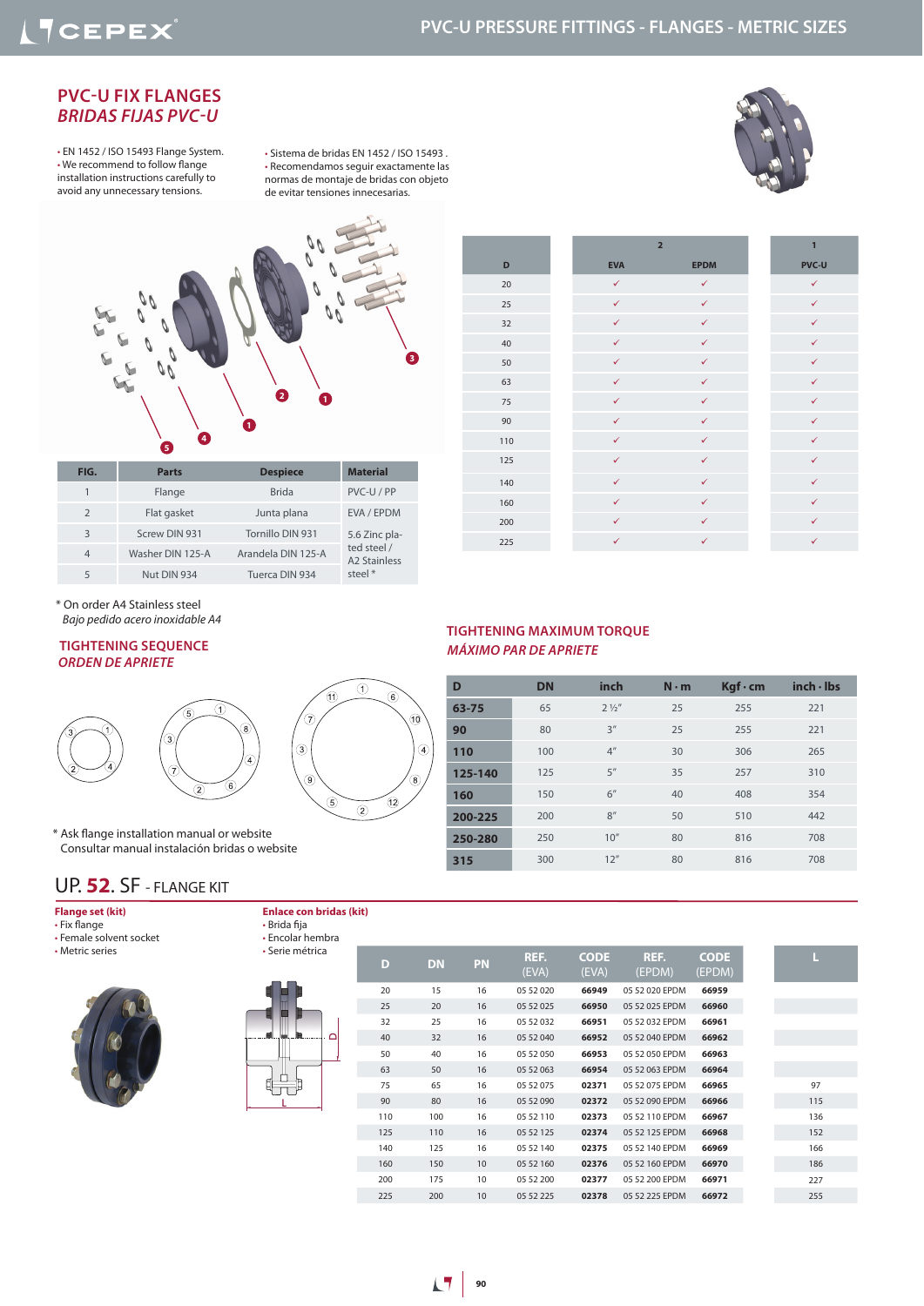## **PVC-U PRESSURE FITTINGS - FLANGES - METRIC SIZES**

#### **PVC-U FIX FLANGES**  *BRIDAS FIJAS PVC-U*

• EN 1452 / ISO 15493 Flange System. • We recommend to follow flange installation instructions carefully to avoid any unnecessary tensions.

• Sistema de bridas EN 1452 / ISO 15493 . • Recomendamos seguir exactamente las normas de montaje de bridas con objeto de evitar tensiones innecesarias.





| FIG.           | <b>Parts</b>     | <b>Despiece</b>    | <b>Material</b>                    |
|----------------|------------------|--------------------|------------------------------------|
|                | Flange           | <b>Brida</b>       | PVC-U/PP                           |
| 2              | Flat gasket      | Junta plana        | EVA / EPDM                         |
| 3              | Screw DIN 931    | Tornillo DIN 931   | 5.6 Zinc pla-                      |
| $\overline{4}$ | Washer DIN 125-A | Arandela DIN 125-A | ted steel /<br><b>A2 Stainless</b> |
| 5              | Nut DIN 934      | Tuerca DIN 934     | steel $*$                          |

|     |              | $\overline{2}$ | $\mathbf{1}$ |
|-----|--------------|----------------|--------------|
| D   | <b>EVA</b>   | <b>EPDM</b>    | <b>PVC-U</b> |
| 20  | $\checkmark$ | $\checkmark$   | $\checkmark$ |
| 25  | $\checkmark$ | $\checkmark$   | $\checkmark$ |
| 32  | $\checkmark$ | $\checkmark$   | $\checkmark$ |
| 40  | $\checkmark$ | $\checkmark$   | $\checkmark$ |
| 50  | $\checkmark$ | $\checkmark$   | $\checkmark$ |
| 63  | $\checkmark$ | $\checkmark$   | $\checkmark$ |
| 75  | $\checkmark$ | $\checkmark$   | $\checkmark$ |
| 90  | $\checkmark$ | $\checkmark$   | $\checkmark$ |
| 110 | $\checkmark$ | $\checkmark$   | $\checkmark$ |
| 125 | $\checkmark$ | $\checkmark$   | $\checkmark$ |
| 140 | $\checkmark$ | $\checkmark$   | $\checkmark$ |
| 160 | $\checkmark$ | $\checkmark$   | $\checkmark$ |
| 200 | $\checkmark$ | $\checkmark$   | $\checkmark$ |
| 225 | $\checkmark$ | $\checkmark$   | $\checkmark$ |

\* On order A4 Stainless steel  *Bajo pedido acero inoxidable A4*

## *ORDEN DE APRIETE*



\* Ask flange installation manual or website Consultar manual instalación bridas o website

### UP. **52**. SF - FLANGE KIT

| Flange set (kit) |  |
|------------------|--|
|------------------|--|

- Fix flange
- Female solvent socket • Metric series
- 





• Brida fija

**Enlace con bridas (kit)**

#### **TIGHTENING SEQUENCE** *MÁXIMO PAR DE APRIETE* **TIGHTENING MAXIMUM TORQUE**

| D       | <b>DN</b> | inch            | $N \cdot m$ | $Kgf \cdot cm$ | inch·lbs |
|---------|-----------|-----------------|-------------|----------------|----------|
| 63-75   | 65        | $2\frac{1}{2}$  | 25          | 255            | 221      |
| 90      | 80        | 3''             | 25          | 255            | 221      |
| 110     | 100       | 4 <sup>''</sup> | 30          | 306            | 265      |
| 125-140 | 125       | 5''             | 35          | 257            | 310      |
| 160     | 150       | 6''             | 40          | 408            | 354      |
| 200-225 | 200       | 8''             | 50          | 510            | 442      |
| 250-280 | 250       | 10''            | 80          | 816            | 708      |
| 315     | 300       | 12''            | 80          | 816            | 708      |

| • Encolar hembra |     |           |           |               |                      |                |                       |     |
|------------------|-----|-----------|-----------|---------------|----------------------|----------------|-----------------------|-----|
| • Serie métrica  | D   | <b>DN</b> | <b>PN</b> | REF.<br>(EVA) | <b>CODE</b><br>(EVA) | REF.<br>(EPDM) | <b>CODE</b><br>(EPDM) | L   |
|                  | 20  | 15        | 16        | 05 52 020     | 66949                | 05 52 020 EPDM | 66959                 |     |
|                  | 25  | 20        | 16        | 05 52 025     | 66950                | 05 52 025 EPDM | 66960                 |     |
|                  | 32  | 25        | 16        | 05 52 032     | 66951                | 05 52 032 EPDM | 66961                 |     |
| ≏                | 40  | 32        | 16        | 05 52 040     | 66952                | 05 52 040 EPDM | 66962                 |     |
|                  | 50  | 40        | 16        | 05 52 050     | 66953                | 05 52 050 EPDM | 66963                 |     |
|                  | 63  | 50        | 16        | 05 52 063     | 66954                | 05 52 063 EPDM | 66964                 |     |
|                  | 75  | 65        | 16        | 05 52 075     | 02371                | 05 52 075 EPDM | 66965                 | 97  |
|                  | 90  | 80        | 16        | 05 52 090     | 02372                | 05 52 090 EPDM | 66966                 | 115 |
|                  | 110 | 100       | 16        | 05 52 110     | 02373                | 05 52 110 EPDM | 66967                 | 136 |
|                  | 125 | 110       | 16        | 05 52 125     | 02374                | 05 52 125 EPDM | 66968                 | 152 |
|                  | 140 | 125       | 16        | 05 52 140     | 02375                | 05 52 140 EPDM | 66969                 | 166 |
|                  | 160 | 150       | 10        | 05 52 160     | 02376                | 05 52 160 EPDM | 66970                 | 186 |
|                  | 200 | 175       | 10        | 05 52 200     | 02377                | 05 52 200 EPDM | 66971                 | 227 |
|                  | 225 | 200       | 10        | 05 52 225     | 02378                | 05 52 225 EPDM | 66972                 | 255 |
|                  |     |           |           |               |                      |                |                       |     |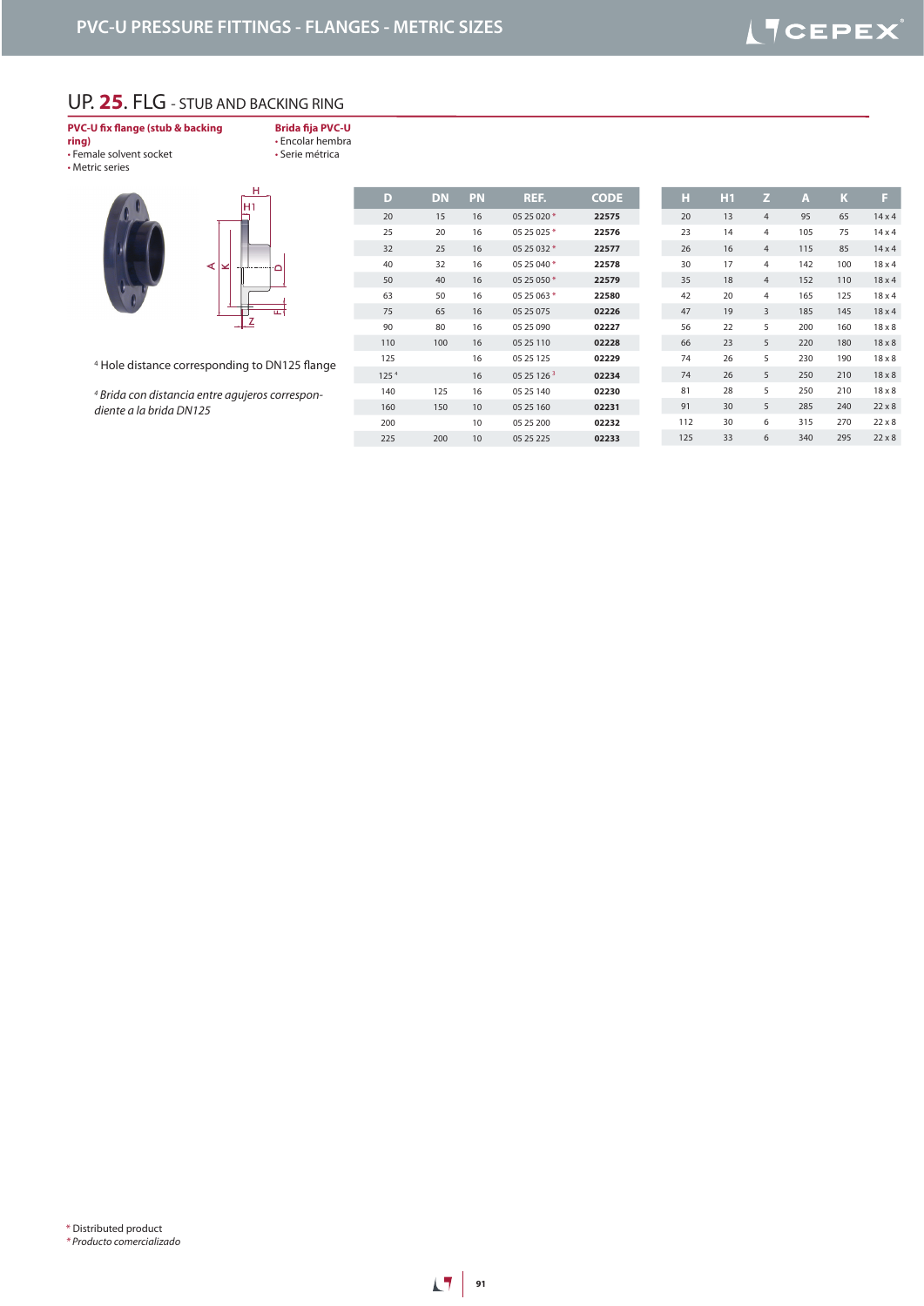## UP. **25**. FLG - STUB AND BACKING RING

#### **PVC-U fix flange (stub & backing ring)**

• Female solvent socket

**Brida fija PVC-U** • Encolar hembra • Serie métrica

• Metric series



**D DN PN REF. CODE** 15 16 05 25 020 \* **22575** 20 16 05 25 025 \* **22576** 25 16 05 25 032 \* **22577** 32 16 05 25 040 \* **22578** 40 16 05 25 050 \* **22579** 50 16 05 25 063 \* **22580** 65 16 05 25 075 **02226** 80 16 05 25 090 **02227** 100 16 05 25 110 **02228** 16 05 25 125 **02229** 125 4 16 05 25 126 <sup>3</sup> **02234** 125 16 05 25 140 **02230** 150 10 05 25 160 **02231** 10 05 25 200 **02232** 200 10 05 25 225 **02233**

| н   | H <sub>1</sub> | z              | A   | κ   | F             |
|-----|----------------|----------------|-----|-----|---------------|
| 20  | 13             | $\overline{4}$ | 95  | 65  | $14 \times 4$ |
| 23  | 14             | 4              | 105 | 75  | $14 \times 4$ |
| 26  | 16             | $\overline{4}$ | 115 | 85  | $14 \times 4$ |
| 30  | 17             | 4              | 142 | 100 | $18 \times 4$ |
| 35  | 18             | $\overline{4}$ | 152 | 110 | $18 \times 4$ |
| 42  | 20             | 4              | 165 | 125 | $18 \times 4$ |
| 47  | 19             | 3              | 185 | 145 | $18 \times 4$ |
| 56  | 22             | 5              | 200 | 160 | $18 \times 8$ |
| 66  | 23             | 5              | 220 | 180 | $18 \times 8$ |
| 74  | 26             | 5              | 230 | 190 | $18 \times 8$ |
| 74  | 26             | 5              | 250 | 210 | $18 \times 8$ |
| 81  | 28             | 5              | 250 | 210 | $18 \times 8$ |
| 91  | 30             | 5              | 285 | 240 | $22 \times 8$ |
| 112 | 30             | 6              | 315 | 270 | $22 \times 8$ |
| 125 | 33             | 6              | 340 | 295 | $22 \times 8$ |

Hole distance corresponding to DN125 flange

  *Brida con distancia entre agujeros correspondiente a la brida DN125*

\* Distributed product *\* Producto comercializado*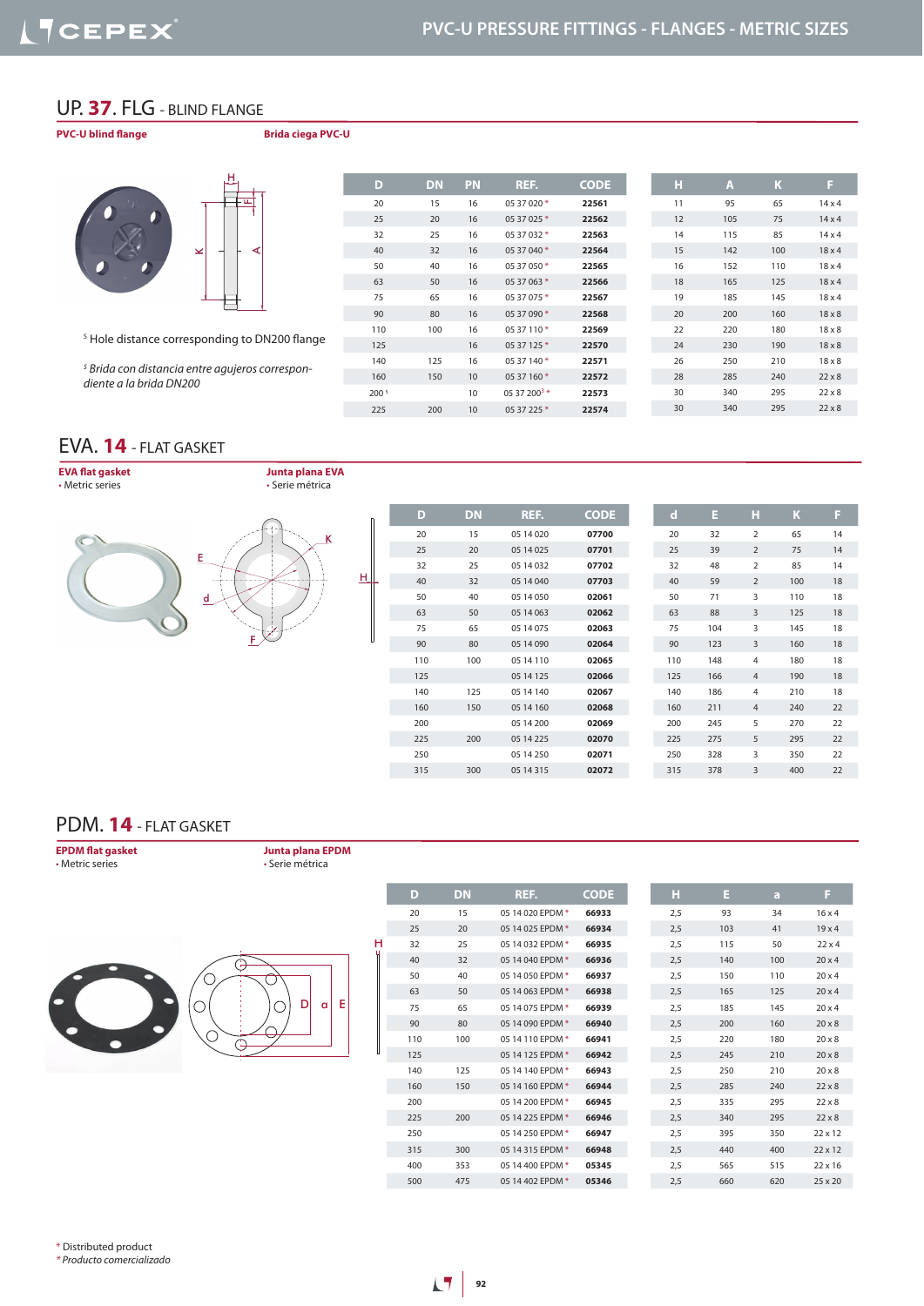#### UP. **37**. FLG - BLIND FLANGE

**PVC-U blind flange Brida ciega PVC-U**





| D     | <b>DN</b> | PN | REF.                     | <b>CODE</b> | н  | A   | K   | F             |
|-------|-----------|----|--------------------------|-------------|----|-----|-----|---------------|
| 20    | 15        | 16 | 05 37 020 *              | 22561       | 11 | 95  | 65  | $14 \times 4$ |
| 25    | 20        | 16 | 05 37 025 *              | 22562       | 12 | 105 | 75  | $14 \times 4$ |
| 32    | 25        | 16 | 05 37 032 *              | 22563       | 14 | 115 | 85  | $14 \times 4$ |
| 40    | 32        | 16 | 05 37 040 *              | 22564       | 15 | 142 | 100 | $18 \times 4$ |
| 50    | 40        | 16 | 05 37 050 *              | 22565       | 16 | 152 | 110 | $18\times4$   |
| 63    | 50        | 16 | 05 37 063 *              | 22566       | 18 | 165 | 125 | $18 \times 4$ |
| 75    | 65        | 16 | 05 37 075 *              | 22567       | 19 | 185 | 145 | $18\times4$   |
| 90    | 80        | 16 | 05 37 090 *              | 22568       | 20 | 200 | 160 | $18 \times 8$ |
| 110   | 100       | 16 | 05 37 110*               | 22569       | 22 | 220 | 180 | $18 \times 8$ |
| 125   |           | 16 | 05 37 125 *              | 22570       | 24 | 230 | 190 | $18 \times 8$ |
| 140   | 125       | 16 | 05 37 140 *              | 22571       | 26 | 250 | 210 | $18 \times 8$ |
| 160   | 150       | 10 | 05 37 160*               | 22572       | 28 | 285 | 240 | $22 \times 8$ |
| 200 5 |           | 10 | 05 37 200 <sup>3</sup> * | 22573       | 30 | 340 | 295 | $22 \times 8$ |
| 225   | 200       | 10 | 05 37 225 *              | 22574       | 30 | 340 | 295 | $22 \times 8$ |
|       |           |    |                          |             |    |     |     |               |

#### EVA. **14** - FLAT GASKET

*diente a la brida DN200*

**EVA flat gasket** • Metric series

**Junta plana EVA** • Serie métrica



 *Brida con distancia entre agujeros correspon-*

| D   | <b>DN</b> | REF.       | <b>CODE</b> |     | $\mathbf d$ | Е   | н              | K   |
|-----|-----------|------------|-------------|-----|-------------|-----|----------------|-----|
| 20  | 15        | 05 14 020  | 07700       | 20  |             | 32  | $\overline{2}$ | 65  |
| 25  | 20        | 05 14 025  | 07701       | 25  |             | 39  | $\overline{2}$ | 75  |
| 32  | 25        | 05 14 032  | 07702       | 32  |             | 48  | $\overline{2}$ | 85  |
| 40  | 32        | 05 14 040  | 07703       | 40  |             | 59  | $\overline{2}$ | 100 |
| 50  | 40        | 05 14 050  | 02061       | 50  |             | 71  | 3              | 110 |
| 63  | 50        | 05 14 063  | 02062       | 63  |             | 88  | 3              | 125 |
| 75  | 65        | 05 14 075  | 02063       | 75  |             | 104 | 3              | 145 |
| 90  | 80        | 05 14 090  | 02064       | 90  |             | 123 | $\overline{3}$ | 160 |
| 110 | 100       | 05 14 110  | 02065       | 110 | 148         |     | $\overline{4}$ | 180 |
| 125 |           | 05 14 125  | 02066       | 125 | 166         |     | $\overline{4}$ | 190 |
| 140 | 125       | 05 14 140  | 02067       | 140 | 186         |     | $\overline{4}$ | 210 |
| 160 | 150       | 05 14 160  | 02068       | 160 | 211         |     | $\overline{4}$ | 240 |
| 200 |           | 05 14 200  | 02069       | 200 | 245         |     | 5              | 270 |
| 225 | 200       | 05 14 225  | 02070       | 225 | 275         |     | 5              | 295 |
| 250 |           | 05 14 250  | 02071       | 250 | 328         |     | 3              | 350 |
| 315 | 300       | 05 14 3 15 | 02072       | 315 | 378         |     | 3              | 400 |
|     |           |            |             |     |             |     |                |     |

#### PDM. **14** - FLAT GASKET

**EPDM flat gasket** • Metric series

**Junta plana EPDM** • Serie métrica

H



| D   | <b>DN</b> | REF.             | <b>CODE</b> | н   |
|-----|-----------|------------------|-------------|-----|
| 20  | 15        | 05 14 020 EPDM * | 66933       | 2,5 |
| 25  | 20        | 05 14 025 EPDM * | 66934       | 2,5 |
| 32  | 25        | 05 14 032 EPDM * | 66935       | 2,5 |
| 40  | 32        | 05 14 040 EPDM * | 66936       | 2,5 |
| 50  | 40        | 05 14 050 EPDM * | 66937       | 2,5 |
| 63  | 50        | 05 14 063 EPDM * | 66938       | 2,5 |
| 75  | 65        | 05 14 075 EPDM * | 66939       | 2,5 |
| 90  | 80        | 05 14 090 EPDM * | 66940       | 2,5 |
| 110 | 100       | 05 14 110 EPDM * | 66941       | 2.5 |
| 125 |           | 05 14 125 EPDM * | 66942       | 2,5 |
| 140 | 125       | 05 14 140 EPDM * | 66943       | 2,5 |
| 160 | 150       | 05 14 160 EPDM * | 66944       | 2,5 |
| 200 |           | 05 14 200 EPDM * | 66945       | 2,5 |
| 225 | 200       | 05 14 225 EPDM * | 66946       | 2,5 |
| 250 |           | 05 14 250 EPDM * | 66947       | 2.5 |
| 315 | 300       | 05 14 315 EPDM * | 66948       | 2,5 |
| 400 | 353       | 05 14 400 EPDM * | 05345       | 2,5 |
| 500 | 475       | 05 14 402 EPDM * | 05346       | 2,5 |

| н   | Е   | a   | F              |
|-----|-----|-----|----------------|
| 2,5 | 93  | 34  | $16 \times 4$  |
| 2,5 | 103 | 41  | 19x4           |
| 2,5 | 115 | 50  | $22 \times 4$  |
| 2,5 | 140 | 100 | $20 \times 4$  |
| 2,5 | 150 | 110 | $20 \times 4$  |
| 2,5 | 165 | 125 | $20 \times 4$  |
| 2,5 | 185 | 145 | $20 \times 4$  |
| 2,5 | 200 | 160 | $20 \times 8$  |
| 2,5 | 220 | 180 | $20 \times 8$  |
| 2,5 | 245 | 210 | $20 \times 8$  |
| 2,5 | 250 | 210 | $20 \times 8$  |
| 2,5 | 285 | 240 | $22 \times 8$  |
| 2,5 | 335 | 295 | $22 \times 8$  |
| 2,5 | 340 | 295 | $22 \times 8$  |
| 2,5 | 395 | 350 | $22 \times 12$ |
| 2,5 | 440 | 400 | $22 \times 12$ |
| 2,5 | 565 | 515 | $22 \times 16$ |
| 2.5 | 660 | 620 | $25 \times 20$ |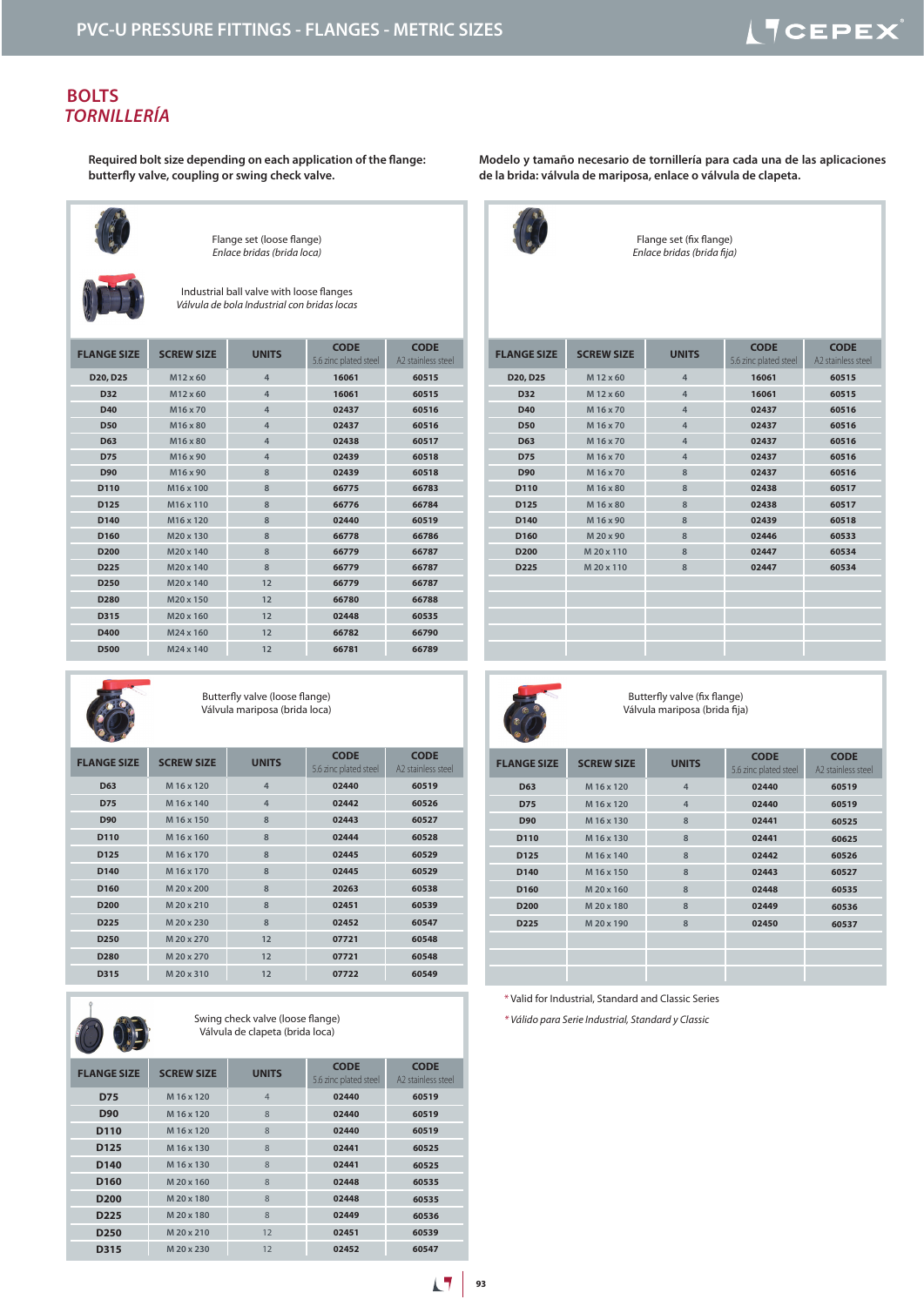#### **BOLTS** *TORNILLERÍA*

**Required bolt size depending on each application of the flange: butterfly valve, coupling or swing check valve.**



Flange set (loose flange) *Enlace bridas (brida loca)*

Industrial ball valve with loose flanges *Válvula de bola Industrial con bridas locas*

| <b>FLANGE SIZE</b> | <b>SCREW SIZE</b>     | <b>UNITS</b>   | <b>CODE</b><br>5.6 zinc plated steel | <b>CODE</b><br>A2 stainless steel |
|--------------------|-----------------------|----------------|--------------------------------------|-----------------------------------|
| D20, D25           | M12 x 60              | $\overline{4}$ | 16061                                | 60515                             |
| <b>D32</b>         | M12 x 60              | $\overline{4}$ | 16061                                | 60515                             |
| <b>D40</b>         | M16 x 70              | $\overline{4}$ | 02437                                | 60516                             |
| <b>D50</b>         | M16 x 80              | $\overline{4}$ | 02437                                | 60516                             |
| D <sub>63</sub>    | M16 x 80              | $\overline{4}$ | 02438                                | 60517                             |
| <b>D75</b>         | M16 x 90              | 4              | 02439                                | 60518                             |
| D90                | M16 x 90              | 8              | 02439                                | 60518                             |
| D110               | M <sub>16</sub> x 100 | 8              | 66775                                | 66783                             |
| D125               | M16 x 110             | 8              | 66776                                | 66784                             |
| D140               | M <sub>16</sub> x 120 | 8              | 02440                                | 60519                             |
| D <sub>160</sub>   | M20 x 130             | 8              | 66778                                | 66786                             |
| D <sub>200</sub>   | M20 x 140             | 8              | 66779                                | 66787                             |
| D225               | M20 x 140             | 8              | 66779                                | 66787                             |
| D <sub>250</sub>   | M20 x 140             | 12             | 66779                                | 66787                             |
| D280               | M20 x 150             | 12             | 66780                                | 66788                             |
| D315               | M20 x 160             | 12             | 02448                                | 60535                             |
| D400               | M24 x 160             | 12             | 66782                                | 66790                             |
| <b>D500</b>        | M24 x 140             | 12             | 66781                                | 66789                             |



Butterfly valve (loose flange) Válvula mariposa (brida loca)

| <b>FLANGE SIZE</b> | <b>SCREW SIZE</b> | <b>UNITS</b>   | <b>CODE</b><br>5.6 zinc plated steel | <b>CODE</b><br>A2 stainless steel |
|--------------------|-------------------|----------------|--------------------------------------|-----------------------------------|
| <b>D63</b>         | M 16 x 120        | $\overline{4}$ | 02440                                | 60519                             |
| <b>D75</b>         | M 16 x 140        | $\overline{4}$ | 02442                                | 60526                             |
| <b>D90</b>         | M 16 x 150        | 8              | 02443                                | 60527                             |
| D110               | M 16 x 160        | 8              | 02444                                | 60528                             |
| D <sub>125</sub>   | M 16 x 170        | 8              | 02445                                | 60529                             |
| D140               | M 16 x 170        | 8              | 02445                                | 60529                             |
| D <sub>160</sub>   | M 20 x 200        | 8              | 20263                                | 60538                             |
| D <sub>200</sub>   | M 20 x 210        | 8              | 02451                                | 60539                             |
| D <sub>225</sub>   | M 20 x 230        | 8              | 02452                                | 60547                             |
| D <sub>250</sub>   | M 20 x 270        | 12             | 07721                                | 60548                             |
| D <sub>280</sub>   | M 20 x 270        | 12             | 07721                                | 60548                             |
| D315               | M 20 x 310        | 12             | 07722                                | 60549                             |



Swing check valve (loose flange) Válvula de clapeta (brida loca)

| $-$                |                   |                |                                      |                                   |
|--------------------|-------------------|----------------|--------------------------------------|-----------------------------------|
| <b>FLANGE SIZE</b> | <b>SCREW SIZE</b> | <b>UNITS</b>   | <b>CODE</b><br>5.6 zinc plated steel | <b>CODE</b><br>A2 stainless steel |
| <b>D75</b>         | M 16 x 120        | $\overline{4}$ | 02440                                | 60519                             |
| <b>D90</b>         | M 16 x 120        | 8              | 02440                                | 60519                             |
| D <sub>110</sub>   | M 16 x 120        | 8              | 02440                                | 60519                             |
| D <sub>125</sub>   | M 16 x 130        | 8              | 02441                                | 60525                             |
| D <sub>140</sub>   | M 16 x 130        | 8              | 02441                                | 60525                             |
| D <sub>160</sub>   | M 20 x 160        | 8              | 02448                                | 60535                             |
| D <sub>200</sub>   | M 20 x 180        | 8              | 02448                                | 60535                             |
| D <sub>225</sub>   | M 20 x 180        | 8              | 02449                                | 60536                             |
| D <sub>250</sub>   | M 20 x 210        | 12             | 02451                                | 60539                             |
| D315               | M 20 x 230        | 12             | 02452                                | 60547                             |

**Modelo y tamaño necesario de tornillería para cada una de las aplicaciones de la brida: válvula de mariposa, enlace o válvula de clapeta.**



Flange set (fix flange) *Enlace bridas (brida fija)*

| <b>FLANGE SIZE</b> | <b>SCREW SIZE</b> | <b>UNITS</b>   | <b>CODE</b><br>5.6 zinc plated steel | <b>CODE</b><br>A2 stainless steel |
|--------------------|-------------------|----------------|--------------------------------------|-----------------------------------|
| D20, D25           | M 12 x 60         | $\overline{4}$ | 16061                                | 60515                             |
| D32                | M 12 x 60         | $\overline{4}$ | 16061                                | 60515                             |
| D40                | M 16 x 70         | $\overline{4}$ | 02437                                | 60516                             |
| <b>D50</b>         | M 16 x 70         | $\overline{4}$ | 02437                                | 60516                             |
| D63                | M 16 x 70         | $\overline{4}$ | 02437                                | 60516                             |
| <b>D75</b>         | M 16 x 70         | $\overline{4}$ | 02437                                | 60516                             |
| <b>D90</b>         | M 16 x 70         | 8              | 02437                                | 60516                             |
| D110               | M 16 x 80         | 8              | 02438                                | 60517                             |
| D125               | M 16 x 80         | 8              | 02438                                | 60517                             |
| D140               | M 16 x 90         | 8              | 02439                                | 60518                             |
| D160               | M 20 x 90         | 8              | 02446                                | 60533                             |
| D <sub>200</sub>   | M 20 x 110        | 8              | 02447                                | 60534                             |
| D <sub>225</sub>   | M 20 x 110        | 8              | 02447                                | 60534                             |
|                    |                   |                |                                      |                                   |
|                    |                   |                |                                      |                                   |
|                    |                   |                |                                      |                                   |
|                    |                   |                |                                      |                                   |
|                    |                   |                |                                      |                                   |



Butterfly valve (fix flange) Válvula mariposa (brida fija)

| <b>FLANGE SIZE</b> | <b>SCREW SIZE</b> | <b>UNITS</b>   | <b>CODE</b><br>5.6 zinc plated steel | <b>CODE</b><br>A2 stainless steel |
|--------------------|-------------------|----------------|--------------------------------------|-----------------------------------|
| <b>D63</b>         | M 16 x 120        | $\overline{4}$ | 02440                                | 60519                             |
| <b>D75</b>         | M 16 x 120        | $\overline{4}$ | 02440                                | 60519                             |
| <b>D90</b>         | M 16 x 130        | 8              | 02441                                | 60525                             |
| D110               | M 16 x 130        | 8              | 02441                                | 60625                             |
| D125               | M 16 x 140        | 8              | 02442                                | 60526                             |
| D140               | M 16 x 150        | 8              | 02443                                | 60527                             |
| D <sub>160</sub>   | M 20 x 160        | 8              | 02448                                | 60535                             |
| D <sub>200</sub>   | M 20 x 180        | 8              | 02449                                | 60536                             |
| D <sub>225</sub>   | M 20 x 190        | 8              | 02450                                | 60537                             |
|                    |                   |                |                                      |                                   |
|                    |                   |                |                                      |                                   |
|                    |                   |                |                                      |                                   |

\* Valid for Industrial, Standard and Classic Series

*\* Válido para Serie Industrial, Standard y Classic*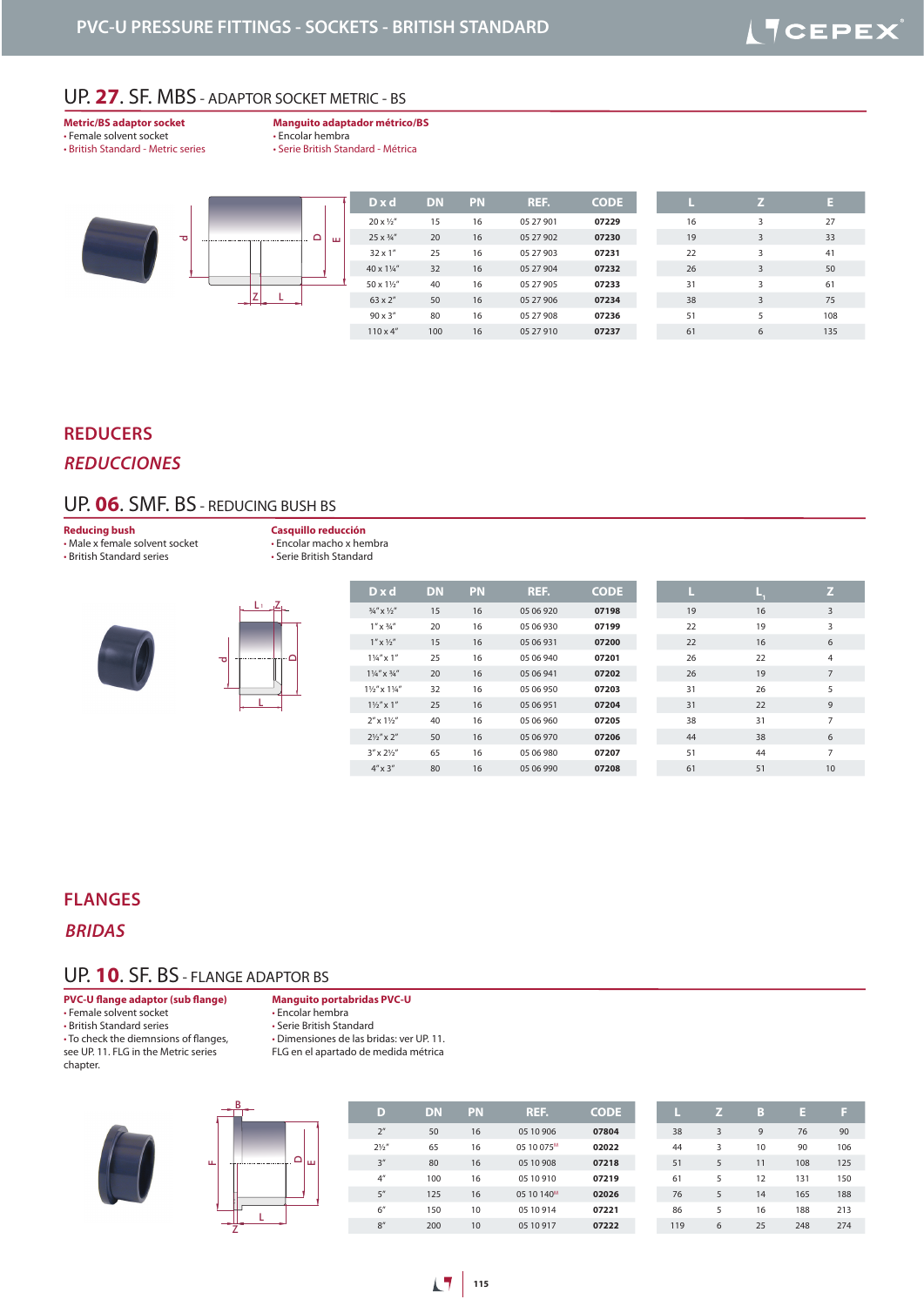## UP. **27**. SF. MBS - ADAPTOR SOCKET METRIC - BS

**Metric/BS adaptor socket** • Female solvent socket • British Standard - Metric series **Manguito adaptador métrico/BS**

• Encolar hembra • Serie British Standard - Métrica

| $D \times d$            | <b>DN</b> | <b>PN</b> | REF.      | <b>CODE</b> |    |   |                                                                    |
|-------------------------|-----------|-----------|-----------|-------------|----|---|--------------------------------------------------------------------|
| $20 \times \frac{1}{2}$ | 15        | 16        | 05 27 901 | 07229       | 16 | 3 | 27<br>33<br>3<br>41<br>50<br>3<br>61<br>75<br>3<br>108<br>135<br>6 |
| 25 x 3/4"               | 20        | 16        | 05 27 902 | 07230       | 19 |   |                                                                    |
| $32 \times 1$ "         | 25        | 16        | 05 27 903 | 07231       | 22 |   |                                                                    |
| 40 x 11/4"              | 32        | 16        | 05 27 904 | 07232       | 26 |   |                                                                    |
| 50 x 11/2"              | 40        | 16        | 05 27 905 | 07233       | 31 |   |                                                                    |
| 63 x 2"                 | 50        | 16        | 05 27 906 | 07234       | 38 |   |                                                                    |
| $90 \times 3$ "         | 80        | 16        | 05 27 908 | 07236       | 51 |   |                                                                    |
| $110 \times 4$ "        | 100       | 16        | 05 27 910 | 07237       | 61 |   |                                                                    |
|                         |           |           |           |             |    |   |                                                                    |

#### **REDUCERS**

#### *REDUCCIONES*

## UP. **06**. SMF. BS - REDUCING BUSH BS

**Reducing bush**

• Male x female solvent socket • British Standard series

**Casquillo reducción** • Encolar macho x hembra • Serie British Standard





| $D \times d$                         |                            | <b>DN</b> | PN | REF.      | <b>CODE</b> | L  |    |
|--------------------------------------|----------------------------|-----------|----|-----------|-------------|----|----|
| $\frac{3}{4}'' \times \frac{1}{2}''$ |                            | 15        | 16 | 05 06 920 | 07198       | 19 | 16 |
|                                      | $1'' \times \frac{3}{4}''$ | 20        | 16 | 05 06 930 | 07199       | 22 | 19 |
| $1'' \times \frac{1}{2}''$           |                            | 15        | 16 | 05 06 931 | 07200       | 22 | 16 |
|                                      | $1\frac{1}{4}$ $\times$ 1" | 25        | 16 | 05 06 940 | 07201       | 26 | 22 |
| $1\frac{1}{4}$ " x $\frac{3}{4}$ "   |                            | 20        | 16 | 05 06 941 | 07202       | 26 | 19 |
| $1\frac{1}{2}$ " x $1\frac{1}{4}$ "  |                            | 32        | 16 | 05 06 950 | 07203       | 31 | 26 |
|                                      | $1\frac{1}{2}$ " x 1"      | 25        | 16 | 05 06 951 | 07204       | 31 | 22 |
| $2'' \times 1\frac{1}{2}''$          |                            | 40        | 16 | 05 06 960 | 07205       | 38 | 31 |
| $2\frac{1}{2}$ " x 2"                |                            | 50        | 16 | 05 06 970 | 07206       | 44 | 38 |
| $3'' \times 2\frac{1}{2}''$          |                            | 65        | 16 | 05 06 980 | 07207       | 51 | 44 |
| $4'' \times 3''$                     |                            | 80        | 16 | 05 06 990 | 07208       | 61 | 51 |
|                                      |                            |           |    |           |             |    |    |

#### **FLANGES**

*BRIDAS*

#### UP. **10**. SF. BS - FLANGE ADAPTOR BS

**PVC-U flange adaptor (sub flange)**

• Female solvent socket

• British Standard series

• To check the diemnsions of flanges, see UP. 11. FLG in the Metric series

chapter.

**Manguito portabridas PVC-U**

• Encolar hembra

• Serie British Standard

• Dimensiones de las bridas: ver UP. 11.

FLG en el apartado de medida métrica

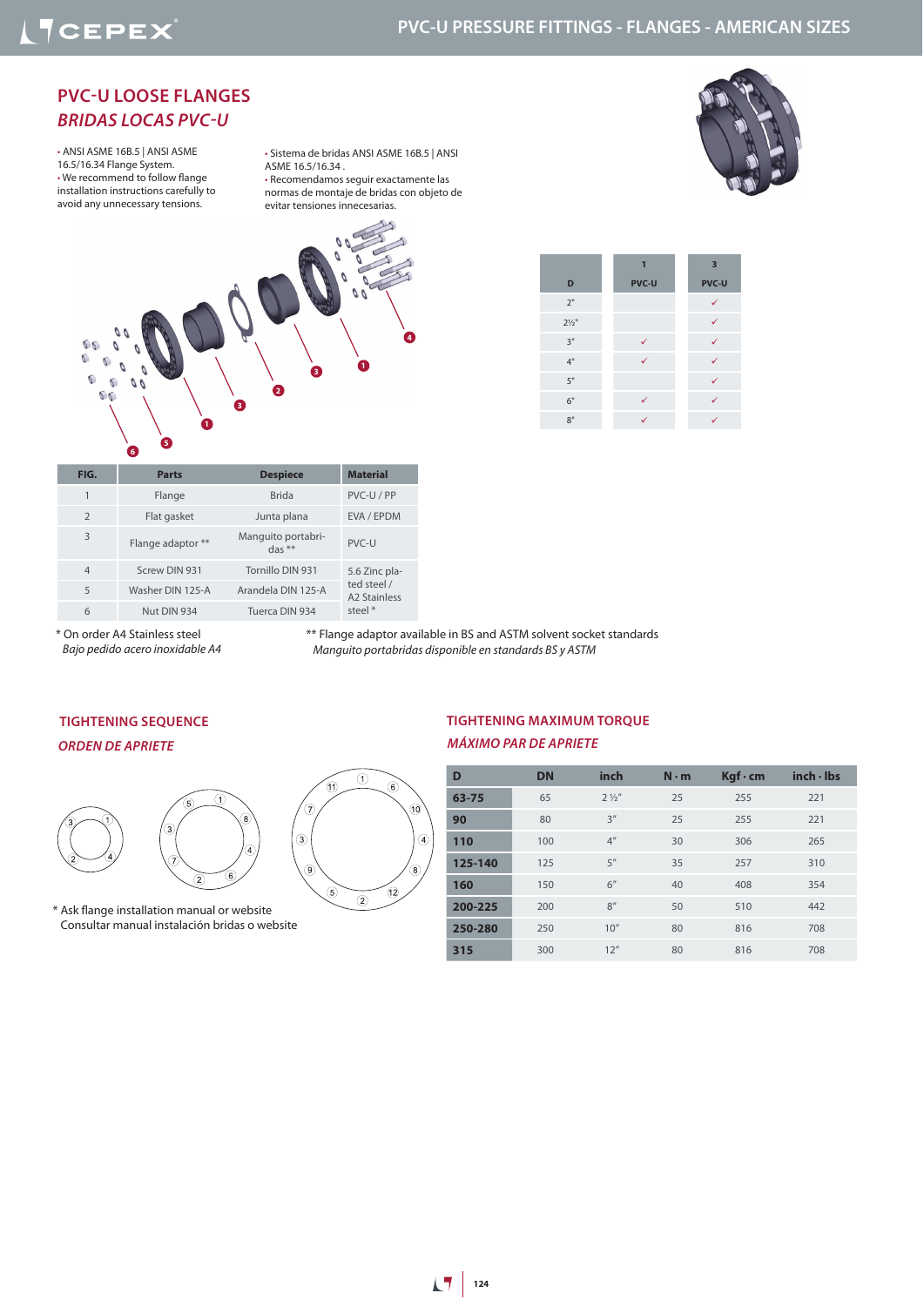## **PVC-U PRESSURE FITTINGS - FLANGES - AMERICAN SIZES**

## **PVC-U LOOSE FLANGES**  *BRIDAS LOCAS PVC-U*

• ANSI ASME 16B.5 | ANSI ASME 16.5/16.34 Flange System. • We recommend to follow flange installation instructions carefully to avoid any unnecessary tensions.

• Sistema de bridas ANSI ASME 16B.5 | ANSI ASME 16.5/16.34 . • Recomendamos seguir exactamente las normas de montaje de bridas con objeto de

evitar tensiones innecesarias.







| FIG.           | <b>Parts</b>      | <b>Despiece</b>                | <b>Material</b>                                    |  |  |
|----------------|-------------------|--------------------------------|----------------------------------------------------|--|--|
|                |                   |                                |                                                    |  |  |
|                | Flange            | <b>Brida</b>                   | PVC-U/PP                                           |  |  |
| $\mathcal{P}$  | Flat gasket       | Junta plana                    | EVA / EPDM                                         |  |  |
| 3              | Flange adaptor ** | Manguito portabri-<br>$das **$ | $PVC-11$                                           |  |  |
| $\overline{4}$ | Screw DIN 931     | Tornillo DIN 931               | 5.6 Zinc pla-                                      |  |  |
| 5              | Washer DIN 125-A  | Arandela DIN 125-A             | ted steel /<br>A <sub>2</sub> Stainless<br>steel * |  |  |
| 6              | Nut DIN 934       | Tuerca DIN 934                 |                                                    |  |  |

\*\* Flange adaptor available in BS and ASTM solvent socket standards

\* On order A4 Stainless steel  *Bajo pedido acero inoxidable A4*

 *Manguito portabridas disponible en standards BS y ASTM*

#### *ORDEN DE APRIETE* **TIGHTENING SEQUENCE**



\* Ask flange installation manual or website Consultar manual instalación bridas o website



#### *MÁXIMO PAR DE APRIETE* **TIGHTENING MAXIMUM TORQUE**

| D       | <b>DN</b> | inch            | $N \cdot m$ | $Kgf \cdot cm$ | inch·lbs |  |
|---------|-----------|-----------------|-------------|----------------|----------|--|
| 63-75   | 65        | $2\frac{1}{3}$  | 25          | 255            | 221      |  |
| 90      | 80        | 3''             | 25          | 255            | 221      |  |
| 110     | 100       | 4 <sup>''</sup> | 30          | 306            | 265      |  |
| 125-140 | 125       | 5''             | 35          | 257            | 310      |  |
| 160     | 150       | 6''             | 40          | 408            | 354      |  |
| 200-225 | 200       | 8''             | 50          | 510            | 442      |  |
| 250-280 | 250       | 10''            | 80          | 816            | 708      |  |
| 315     | 300       | 12''            | 80          | 816            | 708      |  |